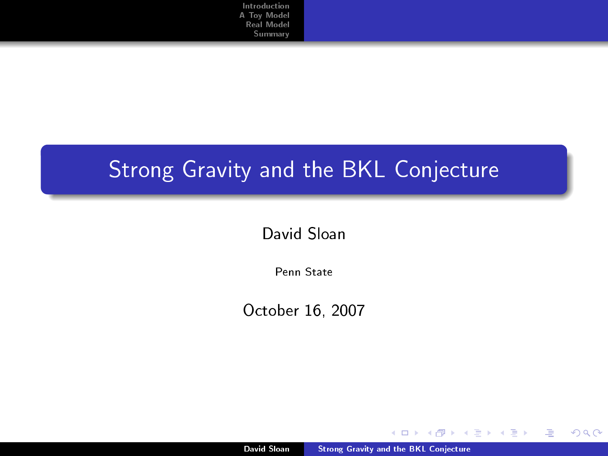# Strong Gravity and the BKL Conjecture

David Sloan

Penn State

October 16, 2007

David Sloan [Strong Gravity and the BKL Conjecture](#page-17-0)

 $\leftarrow$ 

<span id="page-0-0"></span> $2Q$ 

Þ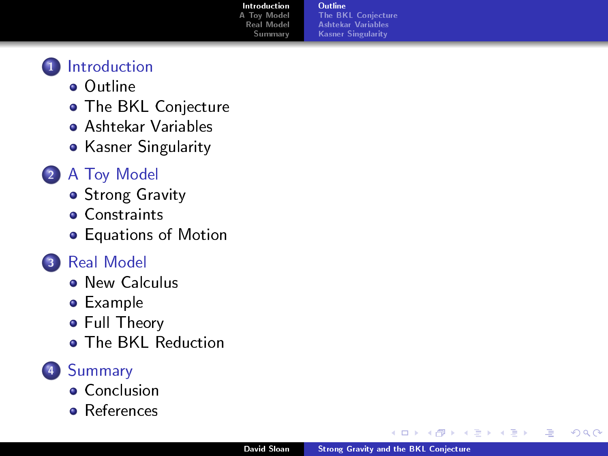[Outline](#page-1-0) [The BKL Conjecture](#page-2-0) [Ashtekar Variables](#page-3-0) [Kasner Singularity](#page-5-0)



- [Outline](#page-1-0)
- **[The BKL Conjecture](#page-2-0)**
- [Ashtekar Variables](#page-3-0)
- **•** [Kasner Singularity](#page-5-0)

### <sup>2</sup> [A Toy Model](#page-6-0)

- **[Strong Gravity](#page-6-0)**
- **[Constraints](#page-7-0)**
- **•** [Equations of Motion](#page-9-0)



- **[New Calculus](#page-11-0)**
- [Example](#page-12-0)
- **•** [Full Theory](#page-13-0)
- **[The BKL Reduction](#page-14-0)**

### <sup>4</sup> [Summary](#page-16-0)

- **[Conclusion](#page-16-0)**
- **•** [References](#page-17-0)

 $\leftarrow$ 

<span id="page-1-0"></span> $2Q$ 

Þ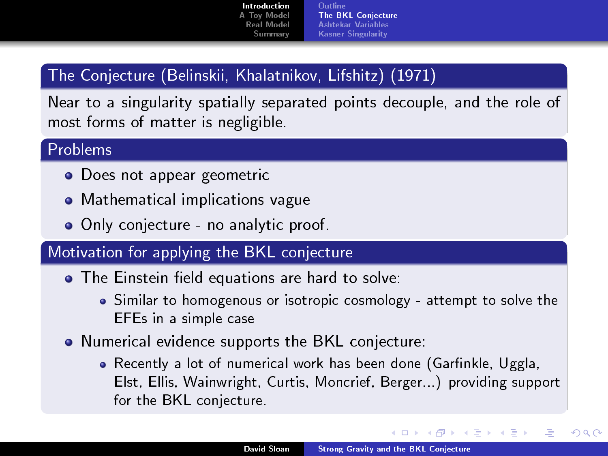**[Outline](#page-1-0)** [The BKL Conjecture](#page-2-0) [Ashtekar Variables](#page-3-0) [Kasner Singularity](#page-5-0)

### The Conjecture (Belinskii, Khalatnikov, Lifshitz) (1971)

Near to a singularity spatially separated points decouple, and the role of most forms of matter is negligible.

#### Problems

- Does not appear geometric
- Mathematical implications vague
- Only conjecture no analytic proof.

### Motivation for applying the BKL conjecture

- The Einstein field equations are hard to solve:
	- Similar to homogenous or isotropic cosmology attempt to solve the EFEs in a simple case
- Numerical evidence supports the BKL conjecture:
	- Recently a lot of numerical work has been done (Garfinkle, Uggla, Elst, Ellis, Wainwright, Curtis, Moncrief, Berger...) providing support for the BKL conjecture.

<span id="page-2-0"></span>4 m k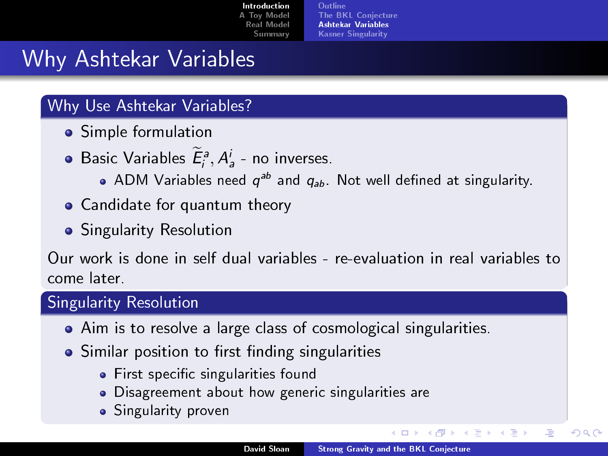[Outline](#page-1-0) [The BKL Conjecture](#page-2-0) [Ashtekar Variables](#page-3-0) [Kasner Singularity](#page-5-0)

### Why Ashtekar Variables

### Why Use Ashtekar Variables?

- **•** Simple formulation
- Basic Variables  $E_i^a, A_a^i$  no inverses.
	- ADM Variables need  $q^{ab}$  and  $q_{ab}$ . Not well defined at singularity.
- Candidate for quantum theory
- **•** Singularity Resolution

Our work is done in self dual variables - re-evaluation in real variables to come later.

### Singularity Resolution

- Aim is to resolve a large class of cosmological singularities.
- Similar position to first finding singularities
	- **•** First specific singularities found
	- Disagreement about how generic singularities are
	- **•** Singularity proven

<span id="page-3-0"></span>4日)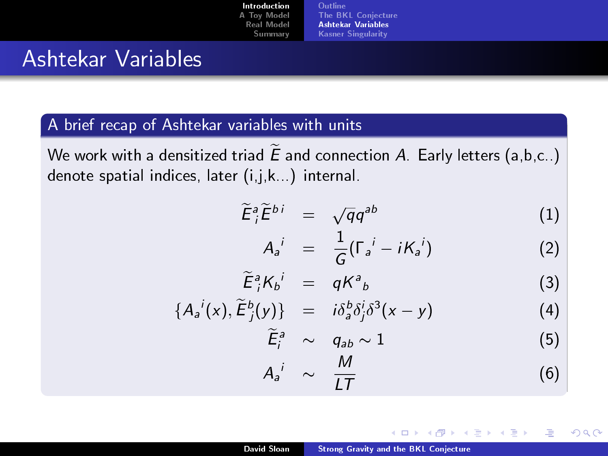[Introduction](#page-1-0) [A Toy Model](#page-6-0) [Real Model](#page-11-0) **[Summary](#page-16-0) [Outline](#page-1-0)** [The BKL Conjecture](#page-2-0) [Ashtekar Variables](#page-3-0) [Kasner Singularity](#page-5-0)

### Ashtekar Variables

#### A brief recap of Ashtekar variables with units

We work with a densitized triad  $\widetilde{E}$  and connection A. Early letters (a,b,c..) denote spatial indices, later (i,j,k...) internal.

$$
\widetilde{E}_i^a \widetilde{E}^{bi} = \sqrt{q} q^{ab} \tag{1}
$$

$$
A_a^i = \frac{1}{G}(\Gamma_a^i - iK_a^i) \tag{2}
$$

$$
\widetilde{E}_i^a K_b{}^i = qK^a{}_b \tag{3}
$$

$$
\{A_a{}^i(x), \widetilde{E}_j^b(y)\} = i\delta_a^b \delta_j^i \delta^3(x-y) \tag{4}
$$

$$
\widetilde{E}_i^a \sim q_{ab} \sim 1 \tag{5}
$$

$$
A_a{}^i \sim \frac{M}{LT} \tag{6}
$$

 $\leftarrow$   $\Box$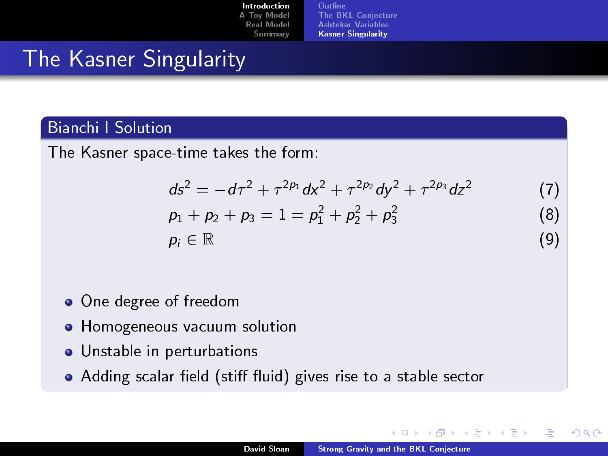| Introduction | 0  |
|--------------|----|
| A Toy Model  | т  |
| Real Model   | A  |
| Summary      | K. |

#### [Outline](#page-1-0) **BKL Conjecture** [Ashtekar Variables](#page-3-0) [Kasner Singularity](#page-5-0)

# The Kasner Singularity

### Bianchi I Solution

The Kasner space-time takes the form:

$$
ds^{2} = -d\tau^{2} + \tau^{2p_{1}}dx^{2} + \tau^{2p_{2}}dy^{2} + \tau^{2p_{3}}dz^{2}
$$
 (7)

$$
p_1 + p_2 + p_3 = 1 = p_1^2 + p_2^2 + p_3^2
$$
 (8)  

$$
p_i \in \mathbb{R}
$$
 (9)

- One degree of freedom
- **•** Homogeneous vacuum solution
- Unstable in perturbations
- Adding scalar field (stiff fluid) gives rise to a stable sector

 $\leftarrow$ 

<span id="page-5-0"></span> $2990$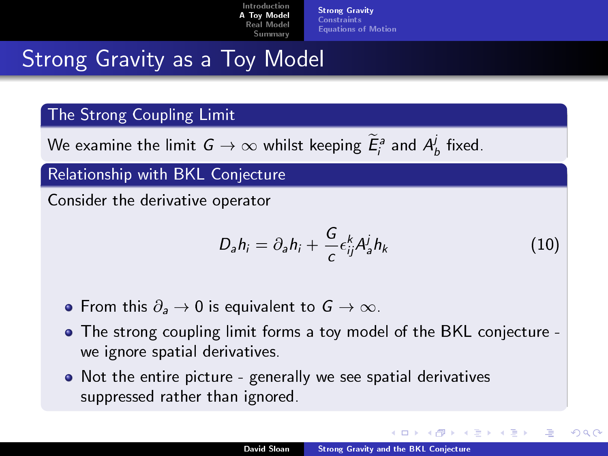[Strong Gravity](#page-6-0) [Constraints](#page-7-0) [Equations of Motion](#page-9-0)

# Strong Gravity as a Toy Model

#### The Strong Coupling Limit

We examine the limit  $\,G\to\infty$  whilst keeping  $\widetilde{E}_{i}^{\,s}$  and  $\,{\mathcal A}_{b}^{j}\,$  fixed.

Relationship with BKL Conjecture

Consider the derivative operator

$$
D_a h_i = \partial_a h_i + \frac{G}{c} \epsilon_{ij}^k A_a^j h_k \tag{10}
$$

<span id="page-6-0"></span>つひへ

- From this  $\partial_a \rightarrow 0$  is equivalent to  $G \rightarrow \infty$ .
- The strong coupling limit forms a toy model of the BKL conjecture we ignore spatial derivatives.
- Not the entire picture generally we see spatial derivatives suppressed rather than ignored.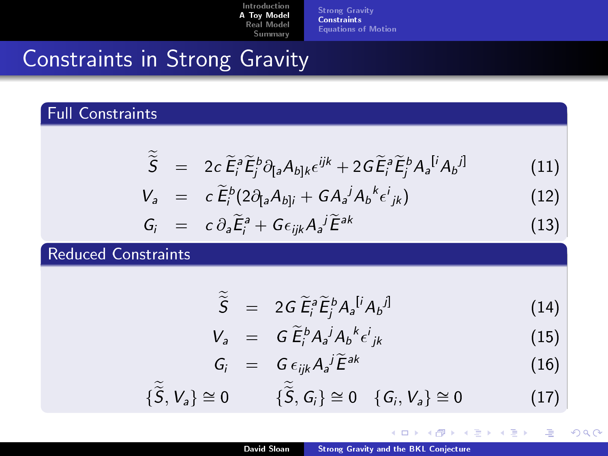[Strong Gravity](#page-6-0) [Constraints](#page-7-0) [Equations of Motion](#page-9-0)

# Constraints in Strong Gravity

### Full Constraints

$$
\widetilde{\widetilde{S}} = 2c \widetilde{E}_{i}^{a} \widetilde{E}_{j}^{b} \partial_{[a} A_{b]k} \epsilon^{ijk} + 2G \widetilde{E}_{i}^{a} \widetilde{E}_{j}^{b} A_{a}{}^{[i} A_{b}{}^{j]} \qquad (11)
$$

$$
V_a = c \widetilde{E}_i^b (2 \partial_{[a} A_{b]i} + G A_a^j A_b^k \epsilon^i_{jk})
$$
 (12)

$$
G_i = c \, \partial_a \widetilde{E}_i^a + G \epsilon_{ijk} A_a^j \widetilde{E}^{ak} \tag{13}
$$

### Reduced Constraints

 $\sim$ 

$$
\widetilde{\widetilde{S}} = 2G \widetilde{E}_i^a \widetilde{E}_j^b A_a^{[i} A_b^{j]} \tag{14}
$$

$$
V_a = G \widetilde{E}_i^b A_a^j A_b^k \epsilon^i_{jk} \tag{15}
$$

$$
G_i = G \epsilon_{ijk} A_a{}^j \widetilde{E}^{ak} \tag{16}
$$

4日下 4 间 × Ξ  $\leftarrow \equiv$ 

Ξ

<span id="page-7-0"></span> $2Q$ 

$$
\{\widetilde{S},V_a\}\cong 0 \qquad \{\widetilde{S},G_i\}\cong 0 \quad \{G_i,V_a\}\cong 0 \qquad (17)
$$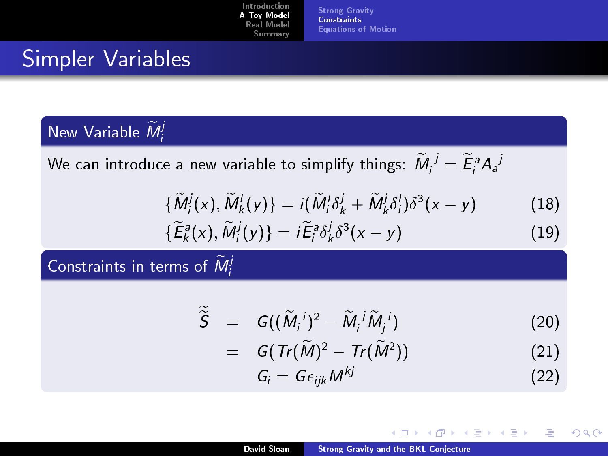[Strong Gravity](#page-6-0) **[Constraints](#page-7-0)** [Equations of Motion](#page-9-0)

## Simpler Variables

## New Variable  $\widetilde{M}_{i}^{j}$

We can introduce a new variable to simplify things:  $\widetilde{M}_{i}^{\; j}=\widetilde{E}_{i}^{\, a}A_{a}^{\; j}$ 

$$
\{\widetilde{M}_{i}^{j}(x),\widetilde{M}_{k}^{l}(y)\}=i(\widetilde{M}_{i}^{l}\delta_{k}^{j}+\widetilde{M}_{k}^{j}\delta_{i}^{l})\delta^{3}(x-y)\qquad \qquad (18)
$$

$$
\{\widetilde{E}_{k}^{a}(x),\widetilde{M}_{i}^{j}(y)\}=i\widetilde{E}_{i}^{a}\delta_{k}^{j}\delta^{3}(x-y)
$$
\n(19)

Constraints in terms of  $\widetilde{M}_{i}^{j}$ 

$$
\widetilde{\widetilde{S}} = G((\widetilde{M}_i^{\ i})^2 - \widetilde{M}_i^{\ j} \widetilde{M}_j^{\ i}) \qquad (20)
$$

$$
= G\left(\mathit{Tr}(\widetilde{M})^2 - \mathit{Tr}(\widetilde{M}^2)\right) \tag{21}
$$

$$
G_i = G \epsilon_{ijk} M^{kj} \tag{22}
$$

4日下

4 重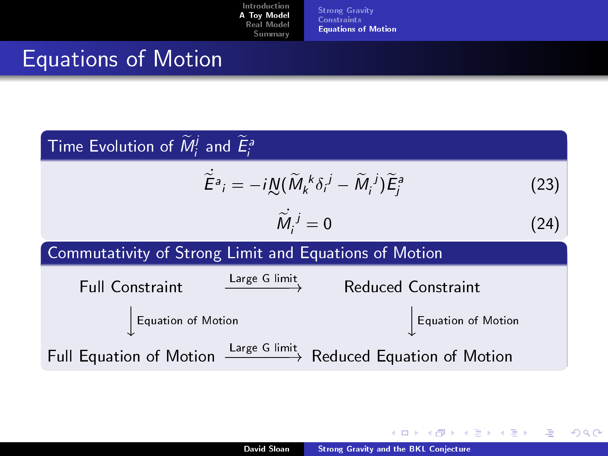[Strong Gravity](#page-6-0) [Constraints](#page-7-0) [Equations of Motion](#page-9-0)

# Equations of Motion

| Time Evolution of $\widetilde{M}_{i}^{j}$ and $\widetilde{E}_{i}^{a}$                                            |      |  |
|------------------------------------------------------------------------------------------------------------------|------|--|
| $\widetilde{E}^a_i = -i \underbar{N} (\widetilde{M}_k{}^k \delta_i{}^j - \widetilde{M}_i{}^j) \widetilde{E}_i^a$ | (23) |  |
| $\widetilde{M}_{i}^{j}=0$                                                                                        | (24) |  |
| Commutativity of Strong Limit and Equations of Motion                                                            |      |  |
| Large G limit<br><b>Full Constraint</b><br>Reduced Constraint                                                    |      |  |
| Equation of Motion<br>Equation of Motion                                                                         |      |  |
| Full Equation of Motion $\xrightarrow{\text{Large G limit}}$ Reduced Equation of Motion                          |      |  |

**K ロ ▶ K 伊 ▶** 

医蛋白 医唇尖

注

<span id="page-9-0"></span> $299$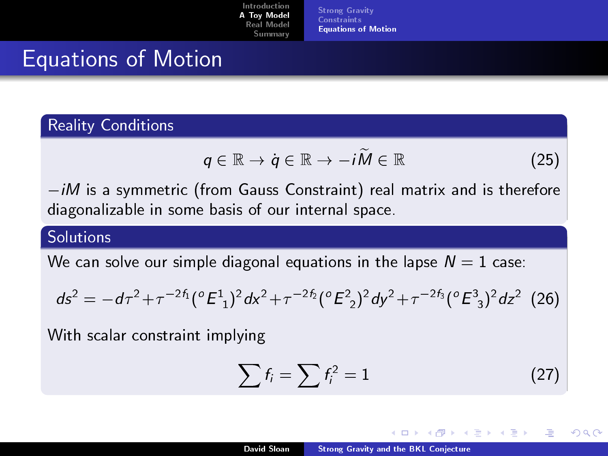[Strong Gravity](#page-6-0) **[Constraints](#page-7-0)** [Equations of Motion](#page-9-0)

### Equations of Motion

### Reality Conditions

$$
q \in \mathbb{R} \to q \in \mathbb{R} \to -i\widetilde{M} \in \mathbb{R} \tag{25}
$$

 $-iM$  is a symmetric (from Gauss Constraint) real matrix and is therefore diagonalizable in some basis of our internal space.

### Solutions

We can solve our simple diagonal equations in the lapse  $\mathcal{N}=1$  case:  $\tau$  simple diagonal equations in the lapse<br> $-2f_1$  ( $\sigma$   $E^1$  ) $2$  d $x^2 + \tau^{-2}f_2$  ( $\sigma$   $E^2$  ) $2$  d $y^2 + \tau^{-2}f_2$ 

$$
ds^{2} = -d\tau^{2} + \tau^{-2f_{1}}(^{o} \mathbf{E}^{1})^{2} dx^{2} + \tau^{-2f_{2}}(^{o} \mathbf{E}^{2})^{2} dy^{2} + \tau^{-2f_{3}}(^{o} \mathbf{E}^{3})^{2} dz^{2} (26)
$$

With scalar constraint implying

$$
\sum f_i = \sum f_i^2 = 1 \tag{27}
$$

nar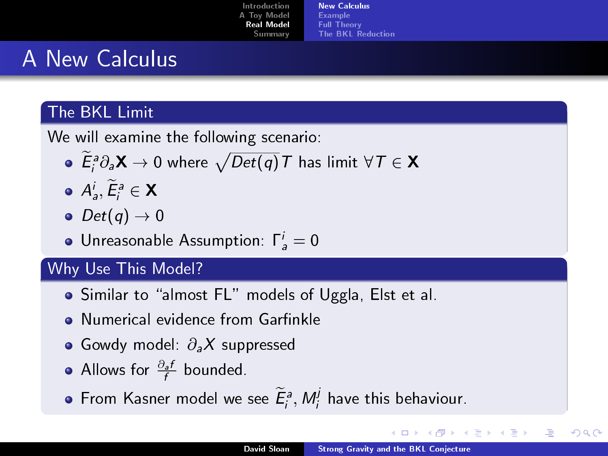| Introduction | <b>New Calculus</b> |
|--------------|---------------------|
| A Toy Model  | Example             |
| Real Model   | <b>Full Theory</b>  |
| Summary      | The BKL Reduction   |

# A New Calculus

### The BKL Limit

We will examine the following scenario:

- $\widetilde{E}_{i}^{\mathfrak{g}}\partial_{\mathfrak{g}}\mathsf{X}\to 0$  where  $\sqrt{Det(q)}\,T$  has limit  $\forall\,T\in\mathsf{X}$
- $A^i_a, \widetilde{E}^a_i \in \mathsf{X}$
- $\bullet$   $Det(q) \rightarrow 0$
- Unreasonable Assumption:  $\Gamma_a^i = 0$

### Why Use This Model?

- Similar to "almost FL" models of Uggla, Elst et al.
- Numerical evidence from Garfinkle
- Gowdy model:  $\partial_a X$  suppressed
- Allows for  $\frac{\partial_{a} f}{f}$  bounded.
- From Kasner model we see  $\widetilde{E}_{i}^{s},$   $M_{i}^{j}$  have this behaviour.

<span id="page-11-0"></span>つひへ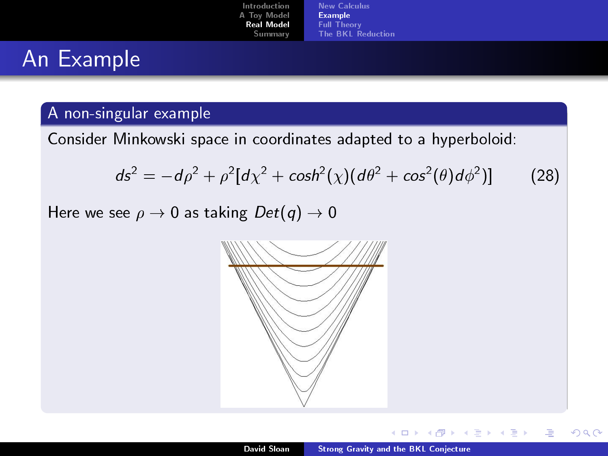| Introduction      | New Calculus             |
|-------------------|--------------------------|
| A Toy Model       | <b>Example</b>           |
| <b>Real Model</b> | <b>Full Theory</b>       |
| Summary           | <b>The BKL Reduction</b> |

## An Example

### A non-singular example

Consider Minkowski space in coordinates adapted to a hyperboloid:

$$
ds2 = -d\rho2 + \rho2[d\chi2 + cosh2(\chi)(d\theta2 + cos2(\theta)d\phi2)]
$$
 (28)

Here we see  $\rho \to 0$  as taking  $Det(q) \to 0$ 



<span id="page-12-0"></span> $2Q$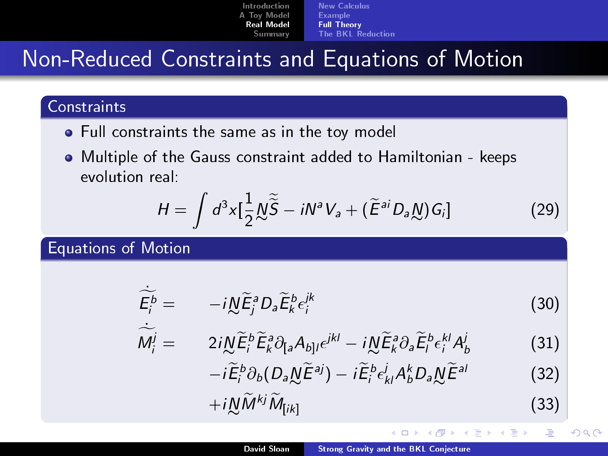| Introduction | New Calculus       |
|--------------|--------------------|
| A Toy Model  | <b>Example</b>     |
| Real Model   | <b>Full Theory</b> |
| Summary      | The BKL Reduction  |

### Non-Reduced Constraints and Equations of Motion

### **Constraints**

- **•** Full constraints the same as in the toy model
- Multiple of the Gauss constraint added to Hamiltonian keeps evolution real:

$$
H = \int d^3x \left[ \frac{1}{2} \underline{\mathcal{N}} \widetilde{S} - i \mathcal{N}^a V_a + (\widetilde{E}^{ai} D_a \underline{\mathcal{N}}) G_i \right]
$$
(29)

Equations of Motion

$$
\widetilde{\overline{E}}_i^b = -i\underline{\mathcal{N}}\widetilde{E}_j^a D_a \widetilde{E}_k^b \varepsilon_i^k \qquad (30)
$$

$$
\widetilde{M}_{i}^{j} = 2i\underline{\mathcal{N}}\widetilde{E}_{i}^{b}\widetilde{E}_{k}^{a}\partial_{[a}A_{b]l}\epsilon^{jkl} - i\underline{\mathcal{N}}\widetilde{E}_{k}^{a}\partial_{a}\widetilde{E}_{l}^{b}\epsilon_{i}^{kl}A_{b}^{j}
$$
\n(31)\n  
\n $i\widetilde{E}^{b}\partial_{i}(D_{i}M\widetilde{E}^{a}j) - i\widetilde{E}^{b}j_{i}A^{k}D_{i}M\widetilde{E}^{a}j$ \n(32)

$$
-i\widetilde{E}_{i}^{b}\partial_{b}(D_{a}\underline{N}\widetilde{E}^{aj})-i\widetilde{E}_{i}^{b}\epsilon_{kl}^{j}A_{b}^{k}D_{a}\underline{N}\widetilde{E}^{al}
$$
\n
$$
+i\underline{N}\widetilde{M}^{kj}\widetilde{M}_{[ik]}
$$
\n(33)

 $\leftarrow$ 

遥

<span id="page-13-0"></span>つくい

モミト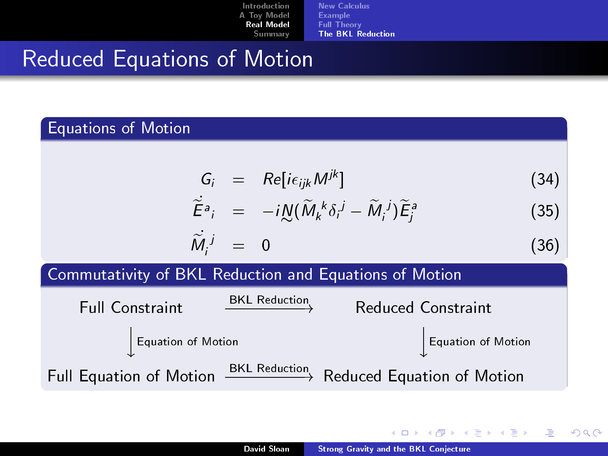| Introduction      | New Calculus             |
|-------------------|--------------------------|
| A Toy Model       | <b>Example</b>           |
| <b>Real Model</b> | <b>Full Theory</b>       |
| Summary           | <b>The BKL Reduction</b> |

### Reduced Equations of Motion

#### Equations of Motion

|  |  | $G_i$ = $Re[i\epsilon_{ijk}M^{jk}]$ | (34) |
|--|--|-------------------------------------|------|
|--|--|-------------------------------------|------|

$$
\tilde{E}^{a}{}_{i} = -i \mathcal{N} (\tilde{M}{}_{k}{}^{k} \delta_{i}{}^{j} - \tilde{M}{}_{i}{}^{j}) \tilde{E}^{a}_{j}
$$
 (35)

$$
\widetilde{M}_i^j = 0 \tag{36}
$$

#### Commutativity of BKL Reduction and Equations of Motion



- 4 周 8 34 周 8

<span id="page-14-0"></span> $2Q$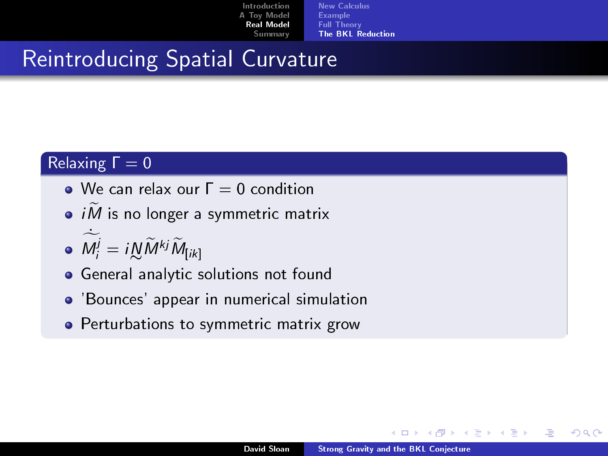| Introduction      | New Calculus             |
|-------------------|--------------------------|
| A Toy Model       | <b>Example</b>           |
| <b>Real Model</b> | <b>Full Theory</b>       |
| <b>Summary</b>    | <b>The BKL Reduction</b> |

### Reintroducing Spatial Curvature

### Relaxing  $\Gamma = 0$

- $\bullet$  We can relax our  $\Gamma = 0$  condition
- $\bullet$  iM is no longer a symmetric matrix

$$
\bullet \ \widetilde{M_i^j} = i \underset{k}{\mathcal{N}} \widetilde{M}^{kj} \widetilde{M}_{[ik]}
$$

- **•** General analytic solutions not found
- 'Bounces' appear in numerical simulation
- **•** Perturbations to symmetric matrix grow

 $\Omega$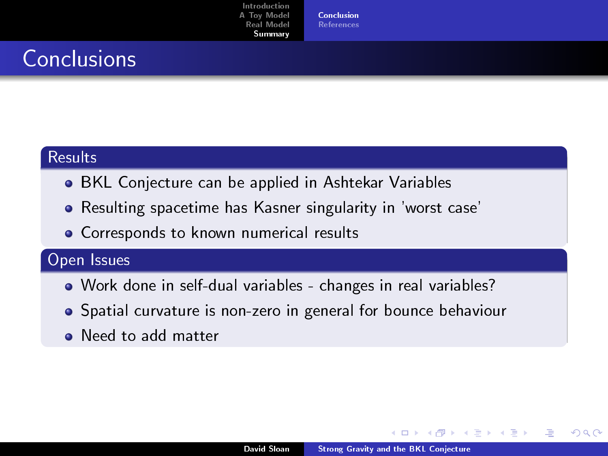[Conclusion](#page-16-0) [References](#page-17-0)

# **Conclusions**

#### **Results**

- BKL Conjecture can be applied in Ashtekar Variables
- Resulting spacetime has Kasner singularity in 'worst case'
- **•** Corresponds to known numerical results

### Open Issues

- Work done in self-dual variables changes in real variables?
- Spatial curvature is non-zero in general for bounce behaviour
- Need to add matter

<span id="page-16-0"></span>つひへ